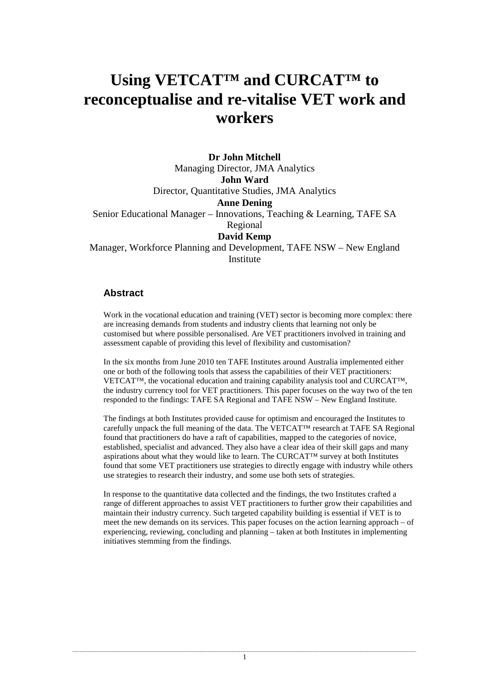# **Using VETCAT™ and CURCAT™ to reconceptualise and re-vitalise VET work and workers**

**Dr John Mitchell**  Managing Director, JMA Analytics **John Ward**  Director, Quantitative Studies, JMA Analytics **Anne Dening**  Senior Educational Manager – Innovations, Teaching & Learning, TAFE SA Regional **David Kemp**  Manager, Workforce Planning and Development, TAFE NSW – New England Institute

#### **Abstract**

Work in the vocational education and training (VET) sector is becoming more complex: there are increasing demands from students and industry clients that learning not only be customised but where possible personalised. Are VET practitioners involved in training and assessment capable of providing this level of flexibility and customisation?

In the six months from June 2010 ten TAFE Institutes around Australia implemented either one or both of the following tools that assess the capabilities of their VET practitioners: VETCAT™, the vocational education and training capability analysis tool and CURCAT™, the industry currency tool for VET practitioners. This paper focuses on the way two of the ten responded to the findings: TAFE SA Regional and TAFE NSW – New England Institute.

The findings at both Institutes provided cause for optimism and encouraged the Institutes to carefully unpack the full meaning of the data. The VETCAT™ research at TAFE SA Regional found that practitioners do have a raft of capabilities, mapped to the categories of novice, established, specialist and advanced. They also have a clear idea of their skill gaps and many aspirations about what they would like to learn. The CURCAT<sup>TM</sup> survey at both Institutes found that some VET practitioners use strategies to directly engage with industry while others use strategies to research their industry, and some use both sets of strategies.

In response to the quantitative data collected and the findings, the two Institutes crafted a range of different approaches to assist VET practitioners to further grow their capabilities and maintain their industry currency. Such targeted capability building is essential if VET is to meet the new demands on its services. This paper focuses on the action learning approach – of experiencing, reviewing, concluding and planning – taken at both Institutes in implementing initiatives stemming from the findings.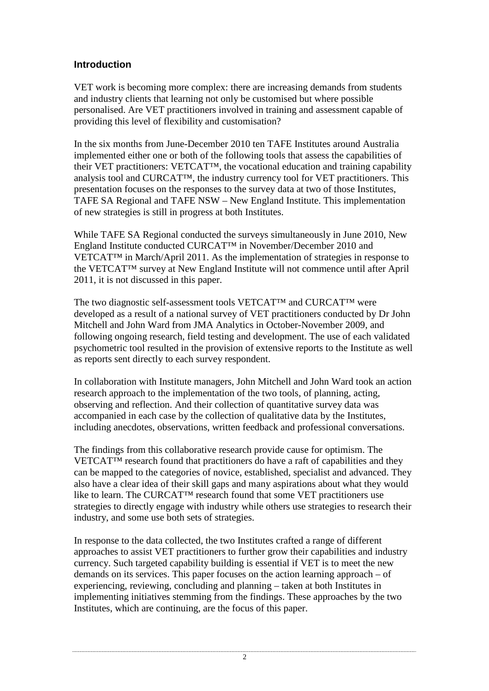# **Introduction**

VET work is becoming more complex: there are increasing demands from students and industry clients that learning not only be customised but where possible personalised. Are VET practitioners involved in training and assessment capable of providing this level of flexibility and customisation?

In the six months from June-December 2010 ten TAFE Institutes around Australia implemented either one or both of the following tools that assess the capabilities of their VET practitioners: VETCAT™, the vocational education and training capability analysis tool and CURCAT™, the industry currency tool for VET practitioners. This presentation focuses on the responses to the survey data at two of those Institutes, TAFE SA Regional and TAFE NSW – New England Institute. This implementation of new strategies is still in progress at both Institutes.

While TAFE SA Regional conducted the surveys simultaneously in June 2010, New England Institute conducted CURCAT™ in November/December 2010 and VETCAT™ in March/April 2011. As the implementation of strategies in response to the VETCAT™ survey at New England Institute will not commence until after April 2011, it is not discussed in this paper.

The two diagnostic self-assessment tools VETCAT™ and CURCAT™ were developed as a result of a national survey of VET practitioners conducted by Dr John Mitchell and John Ward from JMA Analytics in October-November 2009, and following ongoing research, field testing and development. The use of each validated psychometric tool resulted in the provision of extensive reports to the Institute as well as reports sent directly to each survey respondent.

In collaboration with Institute managers, John Mitchell and John Ward took an action research approach to the implementation of the two tools, of planning, acting, observing and reflection. And their collection of quantitative survey data was accompanied in each case by the collection of qualitative data by the Institutes, including anecdotes, observations, written feedback and professional conversations.

The findings from this collaborative research provide cause for optimism. The  $VETCAT<sup>TM</sup>$  research found that practitioners do have a raft of capabilities and they can be mapped to the categories of novice, established, specialist and advanced. They also have a clear idea of their skill gaps and many aspirations about what they would like to learn. The CURCAT™ research found that some VET practitioners use strategies to directly engage with industry while others use strategies to research their industry, and some use both sets of strategies.

In response to the data collected, the two Institutes crafted a range of different approaches to assist VET practitioners to further grow their capabilities and industry currency. Such targeted capability building is essential if VET is to meet the new demands on its services. This paper focuses on the action learning approach – of experiencing, reviewing, concluding and planning – taken at both Institutes in implementing initiatives stemming from the findings. These approaches by the two Institutes, which are continuing, are the focus of this paper.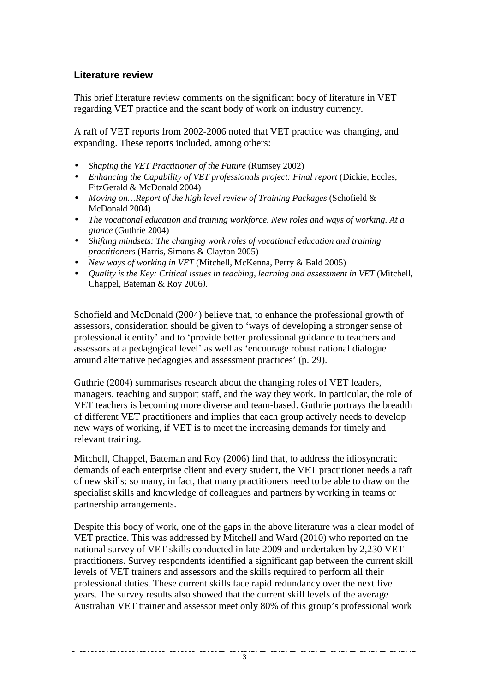# **Literature review**

This brief literature review comments on the significant body of literature in VET regarding VET practice and the scant body of work on industry currency.

A raft of VET reports from 2002-2006 noted that VET practice was changing, and expanding. These reports included, among others:

- *Shaping the VET Practitioner of the Future* (Rumsey 2002)
- *Enhancing the Capability of VET professionals project: Final report* (Dickie, Eccles, FitzGerald & McDonald 2004)
- *Moving on...Report of the high level review of Training Packages (Schofield &* McDonald 2004)
- *The vocational education and training workforce. New roles and ways of working. At a glance* (Guthrie 2004)
- *Shifting mindsets: The changing work roles of vocational education and training practitioners* (Harris, Simons & Clayton 2005)
- *New ways of working in VET* (Mitchell, McKenna, Perry & Bald 2005)
- *Quality is the Key: Critical issues in teaching, learning and assessment in VET* (Mitchell, Chappel, Bateman & Roy 2006*).*

Schofield and McDonald (2004) believe that, to enhance the professional growth of assessors, consideration should be given to 'ways of developing a stronger sense of professional identity' and to 'provide better professional guidance to teachers and assessors at a pedagogical level' as well as 'encourage robust national dialogue around alternative pedagogies and assessment practices' (p. 29).

Guthrie (2004) summarises research about the changing roles of VET leaders, managers, teaching and support staff, and the way they work. In particular, the role of VET teachers is becoming more diverse and team-based. Guthrie portrays the breadth of different VET practitioners and implies that each group actively needs to develop new ways of working, if VET is to meet the increasing demands for timely and relevant training.

Mitchell, Chappel, Bateman and Roy (2006) find that, to address the idiosyncratic demands of each enterprise client and every student, the VET practitioner needs a raft of new skills: so many, in fact, that many practitioners need to be able to draw on the specialist skills and knowledge of colleagues and partners by working in teams or partnership arrangements.

Despite this body of work, one of the gaps in the above literature was a clear model of VET practice. This was addressed by Mitchell and Ward (2010) who reported on the national survey of VET skills conducted in late 2009 and undertaken by 2,230 VET practitioners. Survey respondents identified a significant gap between the current skill levels of VET trainers and assessors and the skills required to perform all their professional duties. These current skills face rapid redundancy over the next five years. The survey results also showed that the current skill levels of the average Australian VET trainer and assessor meet only 80% of this group's professional work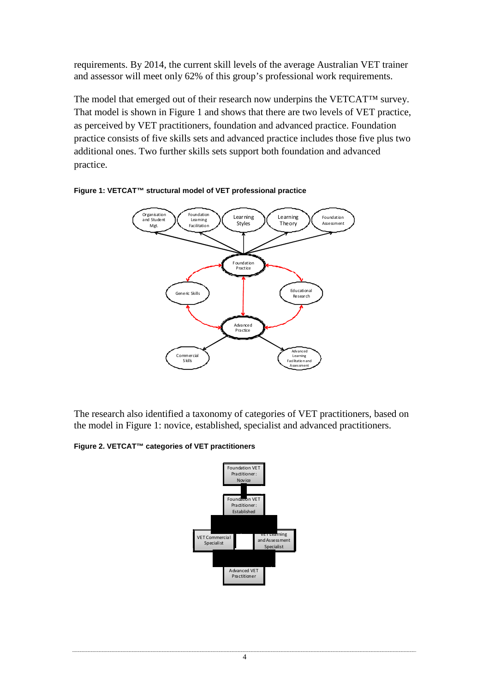requirements. By 2014, the current skill levels of the average Australian VET trainer and assessor will meet only 62% of this group's professional work requirements.

The model that emerged out of their research now underpins the VETCAT™ survey. That model is shown in Figure 1 and shows that there are two levels of VET practice, as perceived by VET practitioners, foundation and advanced practice. Foundation practice consists of five skills sets and advanced practice includes those five plus two additional ones. Two further skills sets support both foundation and advanced practice.





The research also identified a taxonomy of categories of VET practitioners, based on the model in Figure 1: novice, established, specialist and advanced practitioners.

**Figure 2. VETCAT™ categories of VET practitioners**

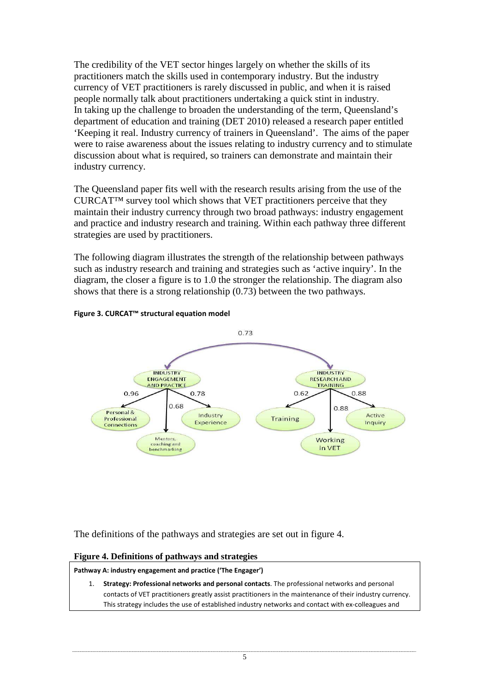The credibility of the VET sector hinges largely on whether the skills of its practitioners match the skills used in contemporary industry. But the industry currency of VET practitioners is rarely discussed in public, and when it is raised people normally talk about practitioners undertaking a quick stint in industry. In taking up the challenge to broaden the understanding of the term, Queensland's department of education and training (DET 2010) released a research paper entitled 'Keeping it real. Industry currency of trainers in Queensland'. The aims of the paper were to raise awareness about the issues relating to industry currency and to stimulate discussion about what is required, so trainers can demonstrate and maintain their industry currency.

The Queensland paper fits well with the research results arising from the use of the CURCAT™ survey tool which shows that VET practitioners perceive that they maintain their industry currency through two broad pathways: industry engagement and practice and industry research and training. Within each pathway three different strategies are used by practitioners.

The following diagram illustrates the strength of the relationship between pathways such as industry research and training and strategies such as 'active inquiry'. In the diagram, the closer a figure is to 1.0 the stronger the relationship. The diagram also shows that there is a strong relationship (0.73) between the two pathways.



#### Figure 3. CURCAT™ structural equation model

The definitions of the pathways and strategies are set out in figure 4.

#### **Figure 4. Definitions of pathways and strategies**

Pathway A: industry engagement and practice ('The Engager')

1. Strategy: Professional networks and personal contacts. The professional networks and personal contacts of VET practitioners greatly assist practitioners in the maintenance of their industry currency. This strategy includes the use of established industry networks and contact with ex-colleagues and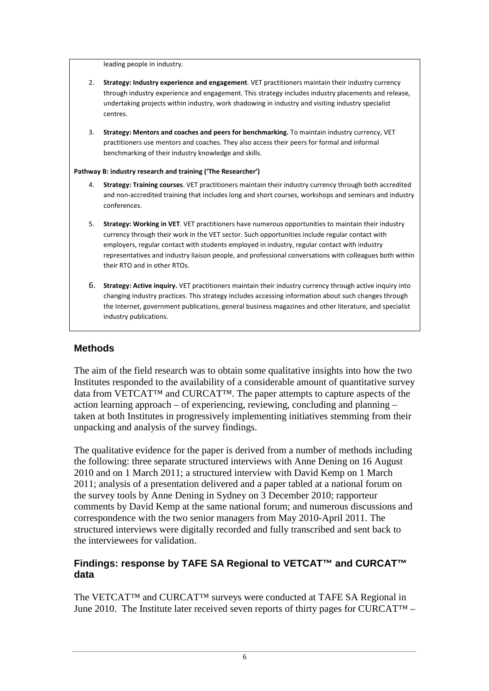leading people in industry.

- 2. Strategy: Industry experience and engagement. VET practitioners maintain their industry currency through industry experience and engagement. This strategy includes industry placements and release, undertaking projects within industry, work shadowing in industry and visiting industry specialist centres.
- 3. Strategy: Mentors and coaches and peers for benchmarking. To maintain industry currency, VET practitioners use mentors and coaches. They also access their peers for formal and informal benchmarking of their industry knowledge and skills.

#### Pathway B: industry research and training ('The Researcher')

- 4. Strategy: Training courses. VET practitioners maintain their industry currency through both accredited and non-accredited training that includes long and short courses, workshops and seminars and industry conferences.
- 5. Strategy: Working in VET. VET practitioners have numerous opportunities to maintain their industry currency through their work in the VET sector. Such opportunities include regular contact with employers, regular contact with students employed in industry, regular contact with industry representatives and industry liaison people, and professional conversations with colleagues both within their RTO and in other RTOs.
- 6. Strategy: Active inquiry. VET practitioners maintain their industry currency through active inquiry into changing industry practices. This strategy includes accessing information about such changes through the Internet, government publications, general business magazines and other literature, and specialist industry publications.

## **Methods**

The aim of the field research was to obtain some qualitative insights into how the two Institutes responded to the availability of a considerable amount of quantitative survey data from VETCAT™ and CURCAT™. The paper attempts to capture aspects of the action learning approach – of experiencing, reviewing, concluding and planning – taken at both Institutes in progressively implementing initiatives stemming from their unpacking and analysis of the survey findings.

The qualitative evidence for the paper is derived from a number of methods including the following: three separate structured interviews with Anne Dening on 16 August 2010 and on 1 March 2011; a structured interview with David Kemp on 1 March 2011; analysis of a presentation delivered and a paper tabled at a national forum on the survey tools by Anne Dening in Sydney on 3 December 2010; rapporteur comments by David Kemp at the same national forum; and numerous discussions and correspondence with the two senior managers from May 2010-April 2011. The structured interviews were digitally recorded and fully transcribed and sent back to the interviewees for validation.

## **Findings: response by TAFE SA Regional to VETCAT™ and CURCAT™ data**

The VETCAT™ and CURCAT™ surveys were conducted at TAFE SA Regional in June 2010. The Institute later received seven reports of thirty pages for CURCAT<sup>TM</sup> –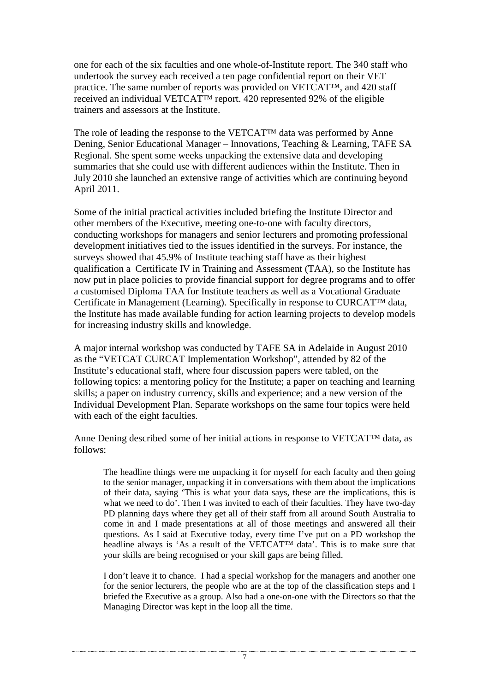one for each of the six faculties and one whole-of-Institute report. The 340 staff who undertook the survey each received a ten page confidential report on their VET practice. The same number of reports was provided on VETCAT™, and 420 staff received an individual VETCAT™ report. 420 represented 92% of the eligible trainers and assessors at the Institute.

The role of leading the response to the VETCAT™ data was performed by Anne Dening, Senior Educational Manager – Innovations, Teaching & Learning, TAFE SA Regional. She spent some weeks unpacking the extensive data and developing summaries that she could use with different audiences within the Institute. Then in July 2010 she launched an extensive range of activities which are continuing beyond April 2011.

Some of the initial practical activities included briefing the Institute Director and other members of the Executive, meeting one-to-one with faculty directors, conducting workshops for managers and senior lecturers and promoting professional development initiatives tied to the issues identified in the surveys. For instance, the surveys showed that 45.9% of Institute teaching staff have as their highest qualification a Certificate IV in Training and Assessment (TAA), so the Institute has now put in place policies to provide financial support for degree programs and to offer a customised Diploma TAA for Institute teachers as well as a Vocational Graduate Certificate in Management (Learning). Specifically in response to CURCAT™ data, the Institute has made available funding for action learning projects to develop models for increasing industry skills and knowledge.

A major internal workshop was conducted by TAFE SA in Adelaide in August 2010 as the "VETCAT CURCAT Implementation Workshop", attended by 82 of the Institute's educational staff, where four discussion papers were tabled, on the following topics: a mentoring policy for the Institute; a paper on teaching and learning skills; a paper on industry currency, skills and experience; and a new version of the Individual Development Plan. Separate workshops on the same four topics were held with each of the eight faculties.

Anne Dening described some of her initial actions in response to VETCAT™ data, as follows:

The headline things were me unpacking it for myself for each faculty and then going to the senior manager, unpacking it in conversations with them about the implications of their data, saying 'This is what your data says, these are the implications, this is what we need to do'. Then I was invited to each of their faculties. They have two-day PD planning days where they get all of their staff from all around South Australia to come in and I made presentations at all of those meetings and answered all their questions. As I said at Executive today, every time I've put on a PD workshop the headline always is 'As a result of the VETCAT™ data'. This is to make sure that your skills are being recognised or your skill gaps are being filled.

I don't leave it to chance. I had a special workshop for the managers and another one for the senior lecturers, the people who are at the top of the classification steps and I briefed the Executive as a group. Also had a one-on-one with the Directors so that the Managing Director was kept in the loop all the time.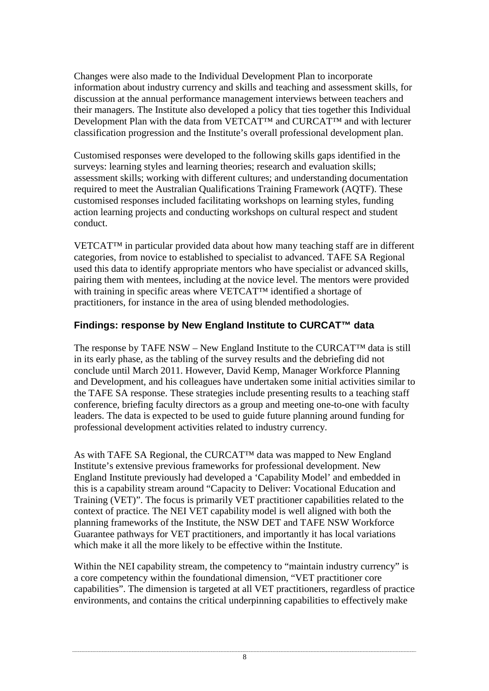Changes were also made to the Individual Development Plan to incorporate information about industry currency and skills and teaching and assessment skills, for discussion at the annual performance management interviews between teachers and their managers. The Institute also developed a policy that ties together this Individual Development Plan with the data from VETCAT™ and CURCAT™ and with lecturer classification progression and the Institute's overall professional development plan.

Customised responses were developed to the following skills gaps identified in the surveys: learning styles and learning theories; research and evaluation skills; assessment skills; working with different cultures; and understanding documentation required to meet the Australian Qualifications Training Framework (AQTF). These customised responses included facilitating workshops on learning styles, funding action learning projects and conducting workshops on cultural respect and student conduct.

VETCAT™ in particular provided data about how many teaching staff are in different categories, from novice to established to specialist to advanced. TAFE SA Regional used this data to identify appropriate mentors who have specialist or advanced skills, pairing them with mentees, including at the novice level. The mentors were provided with training in specific areas where VETCAT™ identified a shortage of practitioners, for instance in the area of using blended methodologies.

# **Findings: response by New England Institute to CURCAT™ data**

The response by TAFE NSW – New England Institute to the CURCAT™ data is still in its early phase, as the tabling of the survey results and the debriefing did not conclude until March 2011. However, David Kemp, Manager Workforce Planning and Development, and his colleagues have undertaken some initial activities similar to the TAFE SA response. These strategies include presenting results to a teaching staff conference, briefing faculty directors as a group and meeting one-to-one with faculty leaders. The data is expected to be used to guide future planning around funding for professional development activities related to industry currency.

As with TAFE SA Regional, the CURCAT™ data was mapped to New England Institute's extensive previous frameworks for professional development. New England Institute previously had developed a 'Capability Model' and embedded in this is a capability stream around "Capacity to Deliver: Vocational Education and Training (VET)". The focus is primarily VET practitioner capabilities related to the context of practice. The NEI VET capability model is well aligned with both the planning frameworks of the Institute, the NSW DET and TAFE NSW Workforce Guarantee pathways for VET practitioners, and importantly it has local variations which make it all the more likely to be effective within the Institute.

Within the NEI capability stream, the competency to "maintain industry currency" is a core competency within the foundational dimension, "VET practitioner core capabilities". The dimension is targeted at all VET practitioners, regardless of practice environments, and contains the critical underpinning capabilities to effectively make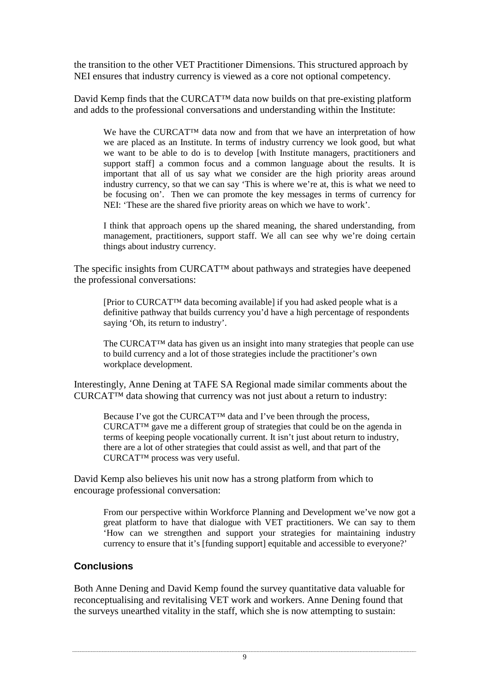the transition to the other VET Practitioner Dimensions. This structured approach by NEI ensures that industry currency is viewed as a core not optional competency.

David Kemp finds that the CURCAT™ data now builds on that pre-existing platform and adds to the professional conversations and understanding within the Institute:

We have the CURCAT™ data now and from that we have an interpretation of how we are placed as an Institute. In terms of industry currency we look good, but what we want to be able to do is to develop [with Institute managers, practitioners and support staff] a common focus and a common language about the results. It is important that all of us say what we consider are the high priority areas around industry currency, so that we can say 'This is where we're at, this is what we need to be focusing on'. Then we can promote the key messages in terms of currency for NEI: 'These are the shared five priority areas on which we have to work'.

I think that approach opens up the shared meaning, the shared understanding, from management, practitioners, support staff. We all can see why we're doing certain things about industry currency.

The specific insights from CURCAT™ about pathways and strategies have deepened the professional conversations:

[Prior to CURCAT™ data becoming available] if you had asked people what is a definitive pathway that builds currency you'd have a high percentage of respondents saying 'Oh, its return to industry'.

The CURCAT™ data has given us an insight into many strategies that people can use to build currency and a lot of those strategies include the practitioner's own workplace development.

Interestingly, Anne Dening at TAFE SA Regional made similar comments about the CURCAT™ data showing that currency was not just about a return to industry:

Because I've got the CURCAT™ data and I've been through the process, CURCAT™ gave me a different group of strategies that could be on the agenda in terms of keeping people vocationally current. It isn't just about return to industry, there are a lot of other strategies that could assist as well, and that part of the CURCAT™ process was very useful.

David Kemp also believes his unit now has a strong platform from which to encourage professional conversation:

From our perspective within Workforce Planning and Development we've now got a great platform to have that dialogue with VET practitioners. We can say to them 'How can we strengthen and support your strategies for maintaining industry currency to ensure that it's [funding support] equitable and accessible to everyone?'

## **Conclusions**

Both Anne Dening and David Kemp found the survey quantitative data valuable for reconceptualising and revitalising VET work and workers. Anne Dening found that the surveys unearthed vitality in the staff, which she is now attempting to sustain: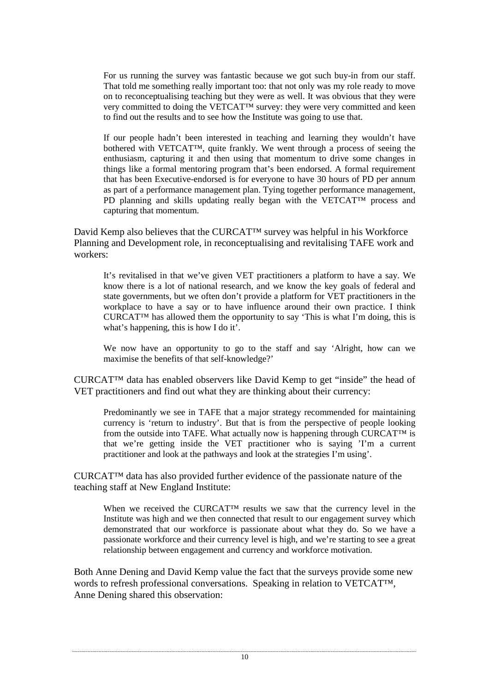For us running the survey was fantastic because we got such buy-in from our staff. That told me something really important too: that not only was my role ready to move on to reconceptualising teaching but they were as well. It was obvious that they were very committed to doing the VETCAT™ survey: they were very committed and keen to find out the results and to see how the Institute was going to use that.

If our people hadn't been interested in teaching and learning they wouldn't have bothered with VETCAT™, quite frankly. We went through a process of seeing the enthusiasm, capturing it and then using that momentum to drive some changes in things like a formal mentoring program that's been endorsed. A formal requirement that has been Executive-endorsed is for everyone to have 30 hours of PD per annum as part of a performance management plan. Tying together performance management, PD planning and skills updating really began with the VETCAT™ process and capturing that momentum.

David Kemp also believes that the CURCAT™ survey was helpful in his Workforce Planning and Development role, in reconceptualising and revitalising TAFE work and workers:

It's revitalised in that we've given VET practitioners a platform to have a say. We know there is a lot of national research, and we know the key goals of federal and state governments, but we often don't provide a platform for VET practitioners in the workplace to have a say or to have influence around their own practice. I think CURCAT<sup>™</sup> has allowed them the opportunity to say 'This is what I'm doing, this is what's happening, this is how I do it'.

We now have an opportunity to go to the staff and say 'Alright, how can we maximise the benefits of that self-knowledge?'

CURCAT™ data has enabled observers like David Kemp to get "inside" the head of VET practitioners and find out what they are thinking about their currency:

Predominantly we see in TAFE that a major strategy recommended for maintaining currency is 'return to industry'. But that is from the perspective of people looking from the outside into TAFE. What actually now is happening through CURCAT<sup>TM</sup> is that we're getting inside the VET practitioner who is saying 'I'm a current practitioner and look at the pathways and look at the strategies I'm using'.

CURCAT™ data has also provided further evidence of the passionate nature of the teaching staff at New England Institute:

When we received the CURCAT™ results we saw that the currency level in the Institute was high and we then connected that result to our engagement survey which demonstrated that our workforce is passionate about what they do. So we have a passionate workforce and their currency level is high, and we're starting to see a great relationship between engagement and currency and workforce motivation.

Both Anne Dening and David Kemp value the fact that the surveys provide some new words to refresh professional conversations. Speaking in relation to VETCAT<sup>TM</sup>, Anne Dening shared this observation: